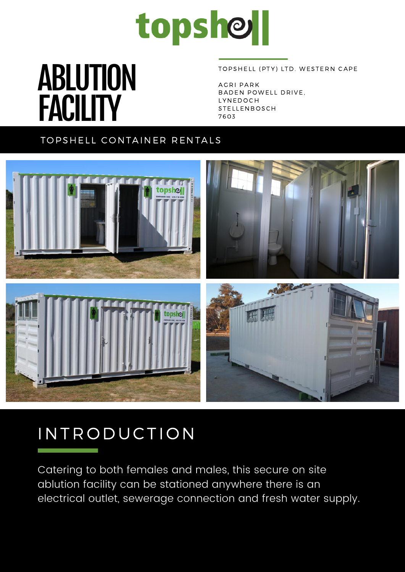

## C O N T A I N E R R E N T A L S ABLUTION **FACILITY**

#### TOPSHELL (PTY) LTD. WESTERN CAPE

AGRI PARK BADEN POWELL DRIVE, **LYNEDOCH** STELLENBOSCH 7 6 0 3

### TOPSHELL CONTAINER RENTALS



## **INTRODUCTION**

Catering to both females and males, this secure on site ablution facility can be stationed anywhere there is an electrical outlet, sewerage connection and fresh water supply.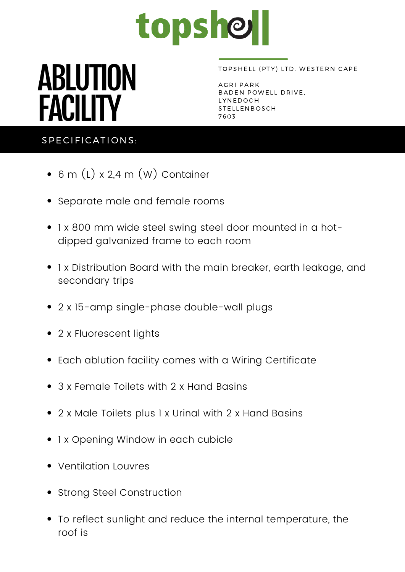

# C O N T A I N E R R E N T A L S ABLUTION **FACILITY**

#### TOPSHELL (PTY) LTD. WESTERN CAPE

AGRI PARK BADEN POWELL DRIVE, **LYNEDOCH** STELLENBOSCH 7 6 0 3

### SPECIFICATIONS:

- 6 m (L) x 2,4 m (W) Container
- Separate male and female rooms
- 1 x 800 mm wide steel swing steel door mounted in a hotdipped galvanized frame to each room
- 1 x Distribution Board with the main breaker, earth leakage, and secondary trips
- 2 x 15-amp single-phase double-wall plugs
- 2 x Fluorescent lights
- Each ablution facility comes with a Wiring Certificate
- 3 x Female Toilets with 2 x Hand Basins
- 2 x Male Toilets plus 1 x Urinal with 2 x Hand Basins
- 1 x Opening Window in each cubicle
- Ventilation Louvres
- Strong Steel Construction
- To reflect sunlight and reduce the internal temperature, the roof is